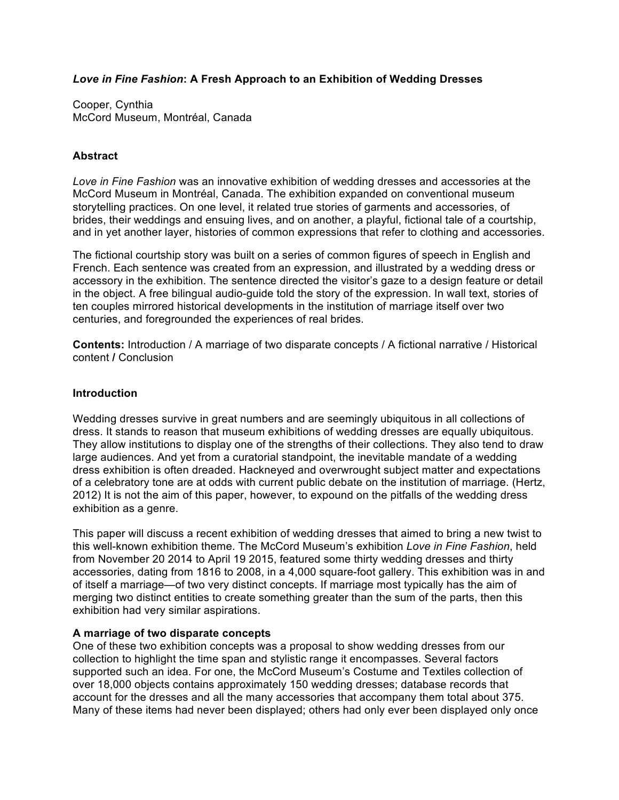## *Love in Fine Fashion***: A Fresh Approach to an Exhibition of Wedding Dresses**

Cooper, Cynthia McCord Museum, Montréal, Canada

## **Abstract**

*Love in Fine Fashion* was an innovative exhibition of wedding dresses and accessories at the McCord Museum in Montréal, Canada. The exhibition expanded on conventional museum storytelling practices. On one level, it related true stories of garments and accessories, of brides, their weddings and ensuing lives, and on another, a playful, fictional tale of a courtship, and in yet another layer, histories of common expressions that refer to clothing and accessories.

The fictional courtship story was built on a series of common figures of speech in English and French. Each sentence was created from an expression, and illustrated by a wedding dress or accessory in the exhibition. The sentence directed the visitor's gaze to a design feature or detail in the object. A free bilingual audio-guide told the story of the expression. In wall text, stories of ten couples mirrored historical developments in the institution of marriage itself over two centuries, and foregrounded the experiences of real brides.

**Contents:** Introduction / A marriage of two disparate concepts / A fictional narrative / Historical content **/** Conclusion

#### **Introduction**

Wedding dresses survive in great numbers and are seemingly ubiquitous in all collections of dress. It stands to reason that museum exhibitions of wedding dresses are equally ubiquitous. They allow institutions to display one of the strengths of their collections. They also tend to draw large audiences. And yet from a curatorial standpoint, the inevitable mandate of a wedding dress exhibition is often dreaded. Hackneyed and overwrought subject matter and expectations of a celebratory tone are at odds with current public debate on the institution of marriage. (Hertz, 2012) It is not the aim of this paper, however, to expound on the pitfalls of the wedding dress exhibition as a genre.

This paper will discuss a recent exhibition of wedding dresses that aimed to bring a new twist to this well-known exhibition theme. The McCord Museum's exhibition *Love in Fine Fashion*, held from November 20 2014 to April 19 2015, featured some thirty wedding dresses and thirty accessories, dating from 1816 to 2008, in a 4,000 square-foot gallery. This exhibition was in and of itself a marriage—of two very distinct concepts. If marriage most typically has the aim of merging two distinct entities to create something greater than the sum of the parts, then this exhibition had very similar aspirations.

### **A marriage of two disparate concepts**

One of these two exhibition concepts was a proposal to show wedding dresses from our collection to highlight the time span and stylistic range it encompasses. Several factors supported such an idea. For one, the McCord Museum's Costume and Textiles collection of over 18,000 objects contains approximately 150 wedding dresses; database records that account for the dresses and all the many accessories that accompany them total about 375. Many of these items had never been displayed; others had only ever been displayed only once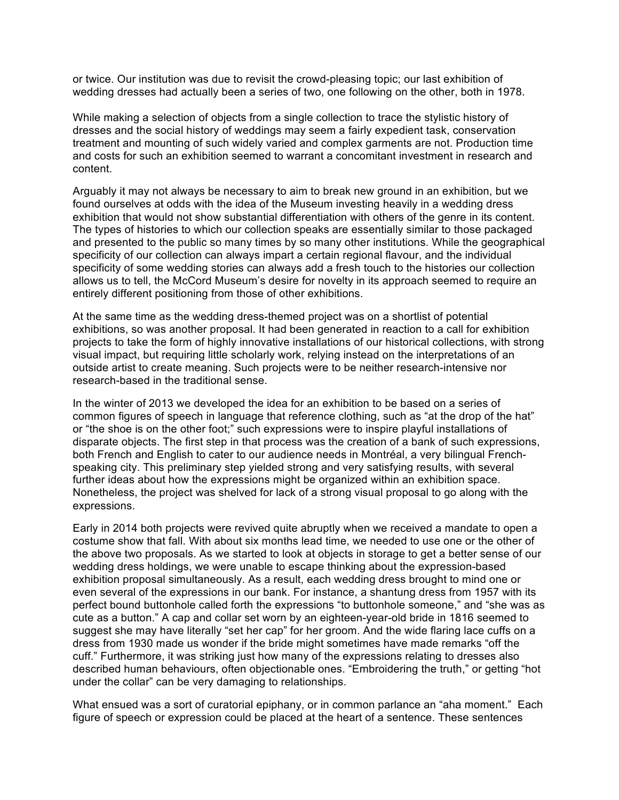or twice. Our institution was due to revisit the crowd-pleasing topic; our last exhibition of wedding dresses had actually been a series of two, one following on the other, both in 1978.

While making a selection of objects from a single collection to trace the stylistic history of dresses and the social history of weddings may seem a fairly expedient task, conservation treatment and mounting of such widely varied and complex garments are not. Production time and costs for such an exhibition seemed to warrant a concomitant investment in research and content.

Arguably it may not always be necessary to aim to break new ground in an exhibition, but we found ourselves at odds with the idea of the Museum investing heavily in a wedding dress exhibition that would not show substantial differentiation with others of the genre in its content. The types of histories to which our collection speaks are essentially similar to those packaged and presented to the public so many times by so many other institutions. While the geographical specificity of our collection can always impart a certain regional flavour, and the individual specificity of some wedding stories can always add a fresh touch to the histories our collection allows us to tell, the McCord Museum's desire for novelty in its approach seemed to require an entirely different positioning from those of other exhibitions.

At the same time as the wedding dress-themed project was on a shortlist of potential exhibitions, so was another proposal. It had been generated in reaction to a call for exhibition projects to take the form of highly innovative installations of our historical collections, with strong visual impact, but requiring little scholarly work, relying instead on the interpretations of an outside artist to create meaning. Such projects were to be neither research-intensive nor research-based in the traditional sense.

In the winter of 2013 we developed the idea for an exhibition to be based on a series of common figures of speech in language that reference clothing, such as "at the drop of the hat" or "the shoe is on the other foot;" such expressions were to inspire playful installations of disparate objects. The first step in that process was the creation of a bank of such expressions, both French and English to cater to our audience needs in Montréal, a very bilingual Frenchspeaking city. This preliminary step yielded strong and very satisfying results, with several further ideas about how the expressions might be organized within an exhibition space. Nonetheless, the project was shelved for lack of a strong visual proposal to go along with the expressions.

Early in 2014 both projects were revived quite abruptly when we received a mandate to open a costume show that fall. With about six months lead time, we needed to use one or the other of the above two proposals. As we started to look at objects in storage to get a better sense of our wedding dress holdings, we were unable to escape thinking about the expression-based exhibition proposal simultaneously. As a result, each wedding dress brought to mind one or even several of the expressions in our bank. For instance, a shantung dress from 1957 with its perfect bound buttonhole called forth the expressions "to buttonhole someone," and "she was as cute as a button." A cap and collar set worn by an eighteen-year-old bride in 1816 seemed to suggest she may have literally "set her cap" for her groom. And the wide flaring lace cuffs on a dress from 1930 made us wonder if the bride might sometimes have made remarks "off the cuff." Furthermore, it was striking just how many of the expressions relating to dresses also described human behaviours, often objectionable ones. "Embroidering the truth," or getting "hot under the collar" can be very damaging to relationships.

What ensued was a sort of curatorial epiphany, or in common parlance an "aha moment." Each figure of speech or expression could be placed at the heart of a sentence. These sentences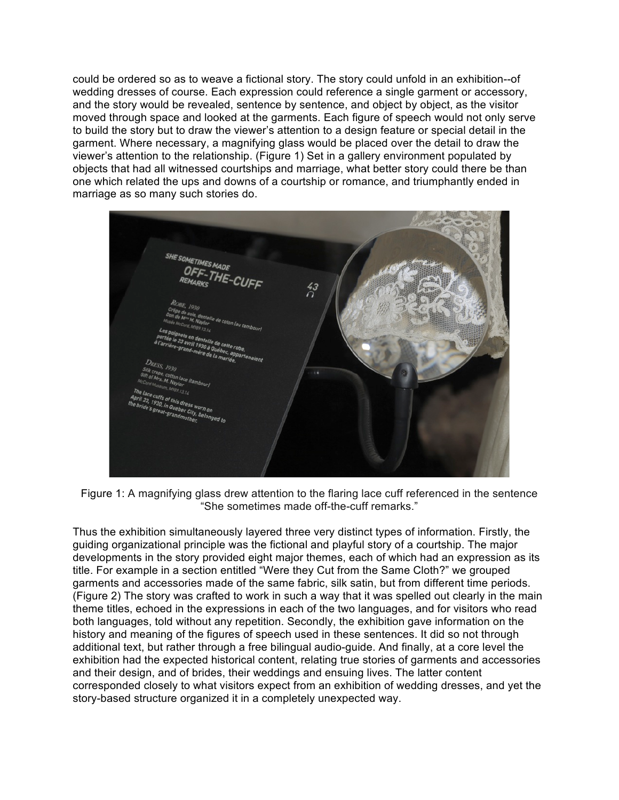could be ordered so as to weave a fictional story. The story could unfold in an exhibition--of wedding dresses of course. Each expression could reference a single garment or accessory, and the story would be revealed, sentence by sentence, and object by object, as the visitor moved through space and looked at the garments. Each figure of speech would not only serve to build the story but to draw the viewer's attention to a design feature or special detail in the garment. Where necessary, a magnifying glass would be placed over the detail to draw the viewer's attention to the relationship. (Figure 1) Set in a gallery environment populated by objects that had all witnessed courtships and marriage, what better story could there be than one which related the ups and downs of a courtship or romance, and triumphantly ended in marriage as so many such stories do.

**SHE SOMETIMES MAD** OFF-THE-CUFF<br>OFF-THE-CUFF  $^{43}_{0}$ 11 1930 à 01  $DQ_{L}$ ebec City, beli<br>Indmother

Figure 1: A magnifying glass drew attention to the flaring lace cuff referenced in the sentence "She sometimes made off-the-cuff remarks."

Thus the exhibition simultaneously layered three very distinct types of information. Firstly, the guiding organizational principle was the fictional and playful story of a courtship. The major developments in the story provided eight major themes, each of which had an expression as its title. For example in a section entitled "Were they Cut from the Same Cloth?" we grouped garments and accessories made of the same fabric, silk satin, but from different time periods. (Figure 2) The story was crafted to work in such a way that it was spelled out clearly in the main theme titles, echoed in the expressions in each of the two languages, and for visitors who read both languages, told without any repetition. Secondly, the exhibition gave information on the history and meaning of the figures of speech used in these sentences. It did so not through additional text, but rather through a free bilingual audio-guide. And finally, at a core level the exhibition had the expected historical content, relating true stories of garments and accessories and their design, and of brides, their weddings and ensuing lives. The latter content corresponded closely to what visitors expect from an exhibition of wedding dresses, and yet the story-based structure organized it in a completely unexpected way.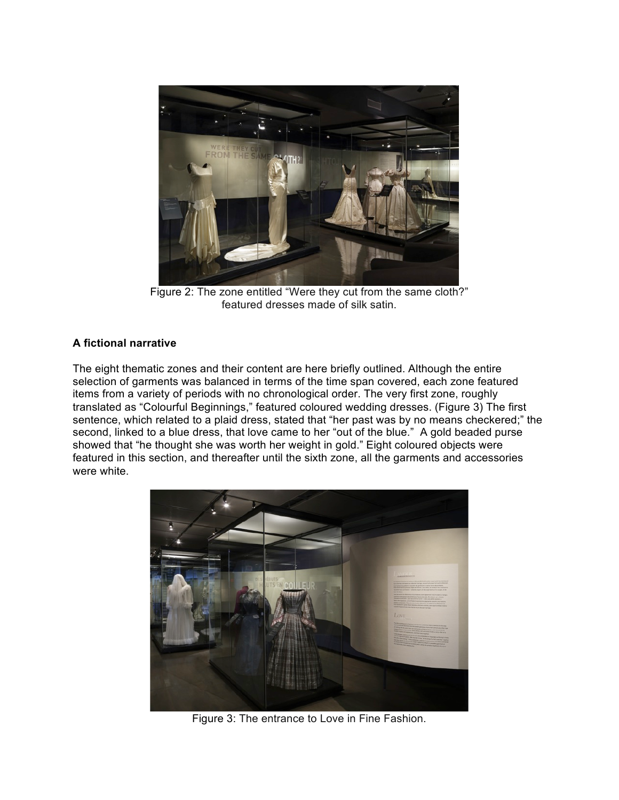

Figure 2: The zone entitled "Were they cut from the same cloth?" featured dresses made of silk satin.

# **A fictional narrative**

The eight thematic zones and their content are here briefly outlined. Although the entire selection of garments was balanced in terms of the time span covered, each zone featured items from a variety of periods with no chronological order. The very first zone, roughly translated as "Colourful Beginnings," featured coloured wedding dresses. (Figure 3) The first sentence, which related to a plaid dress, stated that "her past was by no means checkered;" the second, linked to a blue dress, that love came to her "out of the blue." A gold beaded purse showed that "he thought she was worth her weight in gold." Eight coloured objects were featured in this section, and thereafter until the sixth zone, all the garments and accessories were white.



Figure 3: The entrance to Love in Fine Fashion.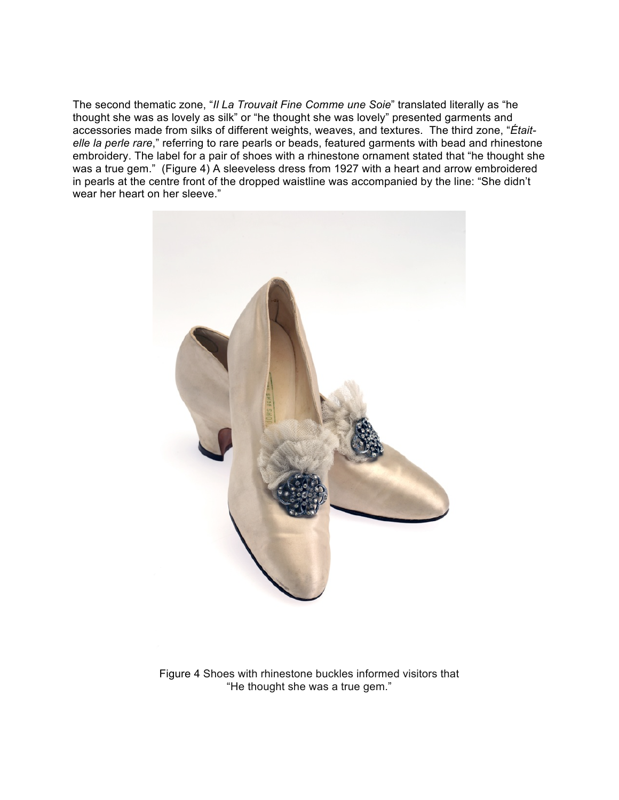The second thematic zone, "*Il La Trouvait Fine Comme une Soie*" translated literally as "he thought she was as lovely as silk" or "he thought she was lovely" presented garments and accessories made from silks of different weights, weaves, and textures. The third zone, "*Étaitelle la perle rare*," referring to rare pearls or beads, featured garments with bead and rhinestone embroidery. The label for a pair of shoes with a rhinestone ornament stated that "he thought she was a true gem." (Figure 4) A sleeveless dress from 1927 with a heart and arrow embroidered in pearls at the centre front of the dropped waistline was accompanied by the line: "She didn't wear her heart on her sleeve."



Figure 4 Shoes with rhinestone buckles informed visitors that "He thought she was a true gem."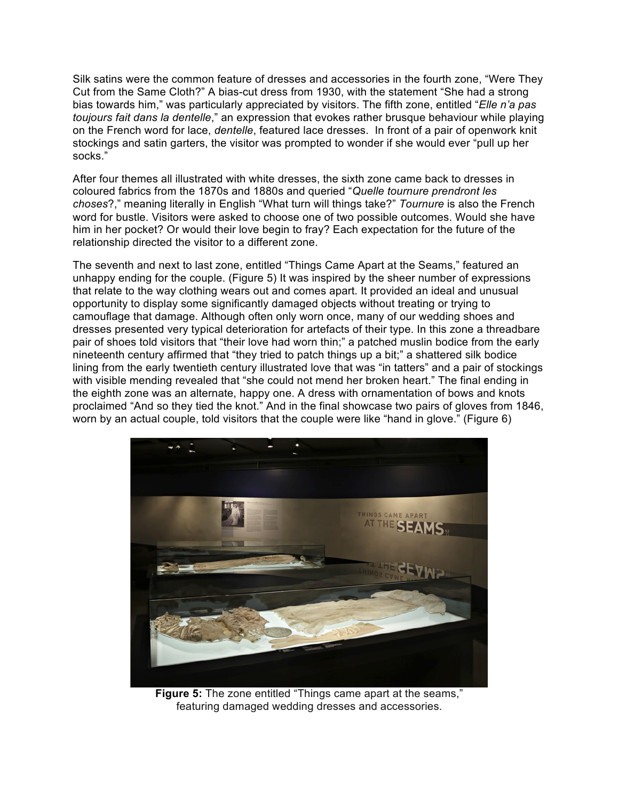Silk satins were the common feature of dresses and accessories in the fourth zone, "Were They Cut from the Same Cloth?" A bias-cut dress from 1930, with the statement "She had a strong bias towards him," was particularly appreciated by visitors. The fifth zone, entitled "*Elle n'a pas toujours fait dans la dentelle*," an expression that evokes rather brusque behaviour while playing on the French word for lace, *dentelle*, featured lace dresses. In front of a pair of openwork knit stockings and satin garters, the visitor was prompted to wonder if she would ever "pull up her socks."

After four themes all illustrated with white dresses, the sixth zone came back to dresses in coloured fabrics from the 1870s and 1880s and queried "*Quelle tournure prendront les choses*?," meaning literally in English "What turn will things take?" *Tournure* is also the French word for bustle. Visitors were asked to choose one of two possible outcomes. Would she have him in her pocket? Or would their love begin to fray? Each expectation for the future of the relationship directed the visitor to a different zone.

The seventh and next to last zone, entitled "Things Came Apart at the Seams," featured an unhappy ending for the couple. (Figure 5) It was inspired by the sheer number of expressions that relate to the way clothing wears out and comes apart. It provided an ideal and unusual opportunity to display some significantly damaged objects without treating or trying to camouflage that damage. Although often only worn once, many of our wedding shoes and dresses presented very typical deterioration for artefacts of their type. In this zone a threadbare pair of shoes told visitors that "their love had worn thin;" a patched muslin bodice from the early nineteenth century affirmed that "they tried to patch things up a bit;" a shattered silk bodice lining from the early twentieth century illustrated love that was "in tatters" and a pair of stockings with visible mending revealed that "she could not mend her broken heart." The final ending in the eighth zone was an alternate, happy one. A dress with ornamentation of bows and knots proclaimed "And so they tied the knot." And in the final showcase two pairs of gloves from 1846, worn by an actual couple, told visitors that the couple were like "hand in glove." (Figure 6)



**Figure 5:** The zone entitled "Things came apart at the seams," featuring damaged wedding dresses and accessories.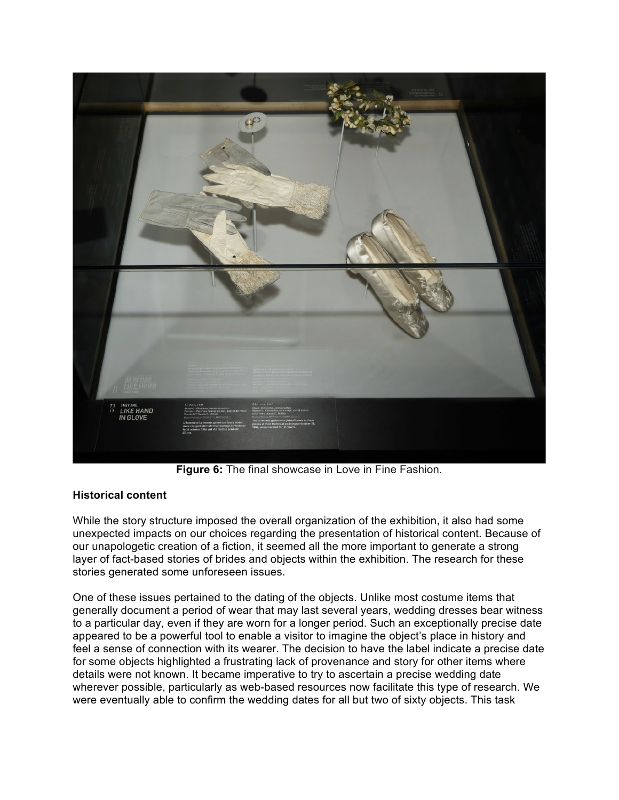

**Figure 6:** The final showcase in Love in Fine Fashion.

## **Historical content**

While the story structure imposed the overall organization of the exhibition, it also had some unexpected impacts on our choices regarding the presentation of historical content. Because of our unapologetic creation of a fiction, it seemed all the more important to generate a strong layer of fact-based stories of brides and objects within the exhibition. The research for these stories generated some unforeseen issues.

One of these issues pertained to the dating of the objects. Unlike most costume items that generally document a period of wear that may last several years, wedding dresses bear witness to a particular day, even if they are worn for a longer period. Such an exceptionally precise date appeared to be a powerful tool to enable a visitor to imagine the object's place in history and feel a sense of connection with its wearer. The decision to have the label indicate a precise date for some objects highlighted a frustrating lack of provenance and story for other items where details were not known. It became imperative to try to ascertain a precise wedding date wherever possible, particularly as web-based resources now facilitate this type of research. We were eventually able to confirm the wedding dates for all but two of sixty objects. This task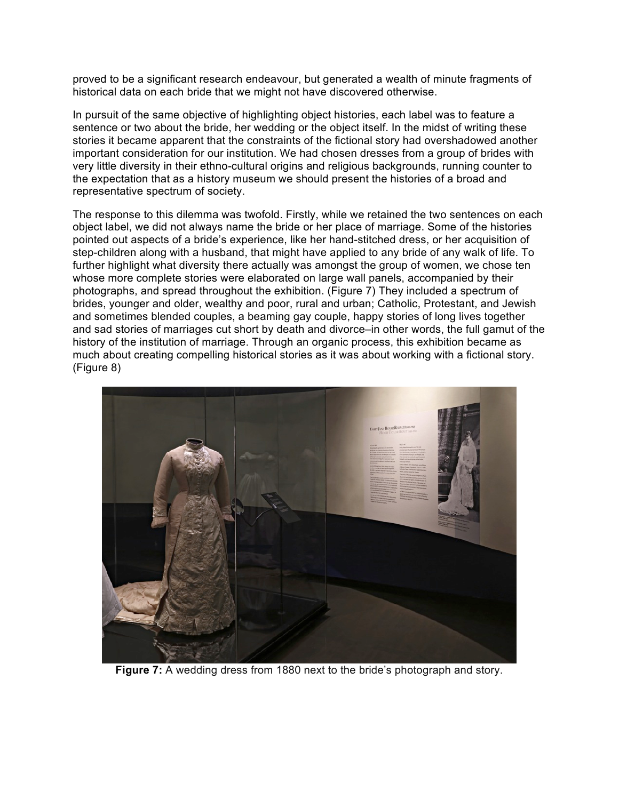proved to be a significant research endeavour, but generated a wealth of minute fragments of historical data on each bride that we might not have discovered otherwise.

In pursuit of the same objective of highlighting object histories, each label was to feature a sentence or two about the bride, her wedding or the object itself. In the midst of writing these stories it became apparent that the constraints of the fictional story had overshadowed another important consideration for our institution. We had chosen dresses from a group of brides with very little diversity in their ethno-cultural origins and religious backgrounds, running counter to the expectation that as a history museum we should present the histories of a broad and representative spectrum of society.

The response to this dilemma was twofold. Firstly, while we retained the two sentences on each object label, we did not always name the bride or her place of marriage. Some of the histories pointed out aspects of a bride's experience, like her hand-stitched dress, or her acquisition of step-children along with a husband, that might have applied to any bride of any walk of life. To further highlight what diversity there actually was amongst the group of women, we chose ten whose more complete stories were elaborated on large wall panels, accompanied by their photographs, and spread throughout the exhibition. (Figure 7) They included a spectrum of brides, younger and older, wealthy and poor, rural and urban; Catholic, Protestant, and Jewish and sometimes blended couples, a beaming gay couple, happy stories of long lives together and sad stories of marriages cut short by death and divorce–in other words, the full gamut of the history of the institution of marriage. Through an organic process, this exhibition became as much about creating compelling historical stories as it was about working with a fictional story. (Figure 8)



**Figure 7:** A wedding dress from 1880 next to the bride's photograph and story.